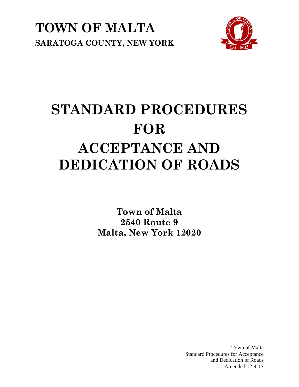



# **STANDARD PROCEDURES FOR ACCEPTANCE AND DEDICATION OF ROADS**

**Town of Malta 2540 Route 9 Malta, New York 12020**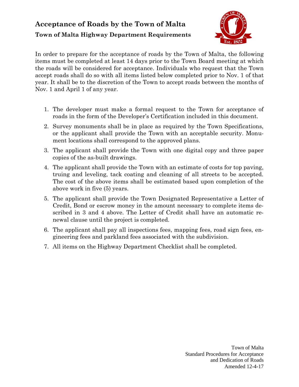# **Acceptance of Roads by the Town of Malta Town of Malta Highway Department Requirements**



In order to prepare for the acceptance of roads by the Town of Malta, the following items must be completed at least 14 days prior to the Town Board meeting at which the roads will be considered for acceptance. Individuals who request that the Town accept roads shall do so with all items listed below completed prior to Nov. 1 of that year. It shall be to the discretion of the Town to accept roads between the months of Nov. 1 and April 1 of any year.

- 1. The developer must make a formal request to the Town for acceptance of roads in the form of the Developer's Certification included in this document.
- 2. Survey monuments shall be in place as required by the Town Specifications, or the applicant shall provide the Town with an acceptable security. Monument locations shall correspond to the approved plans.
- 3. The applicant shall provide the Town with one digital copy and three paper copies of the as-built drawings.
- 4. The applicant shall provide the Town with an estimate of costs for top paving, truing and leveling, tack coating and cleaning of all streets to be accepted. The cost of the above items shall be estimated based upon completion of the above work in five (5) years.
- 5. The applicant shall provide the Town Designated Representative a Letter of Credit, Bond or escrow money in the amount necessary to complete items described in 3 and 4 above. The Letter of Credit shall have an automatic renewal clause until the project is completed.
- 6. The applicant shall pay all inspections fees, mapping fees, road sign fees, engineering fees and parkland fees associated with the subdivision.
- 7. All items on the Highway Department Checklist shall be completed.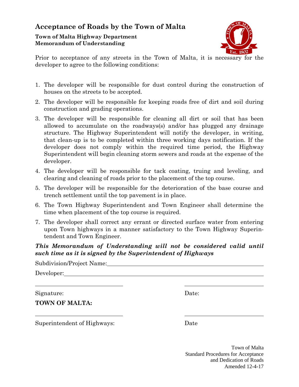## **Acceptance of Roads by the Town of Malta**

**Town of Malta Highway Department Memorandum of Understanding**



Prior to acceptance of any streets in the Town of Malta, it is necessary for the developer to agree to the following conditions:

- 1. The developer will be responsible for dust control during the construction of houses on the streets to be accepted.
- 2. The developer will be responsible for keeping roads free of dirt and soil during construction and grading operations.
- 3. The developer will be responsible for cleaning all dirt or soil that has been allowed to accumulate on the roadways(s) and/or has plugged any drainage structure. The Highway Superintendent will notify the developer, in writing, that clean-up is to be completed within three working days notification. If the developer does not comply within the required time period, the Highway Superintendent will begin cleaning storm sewers and roads at the expense of the developer.
- 4. The developer will be responsible for tack coating, truing and leveling, and clearing and cleaning of roads prior to the placement of the top course.
- 5. The developer will be responsible for the deterioration of the base course and trench settlement until the top pavement is in place.
- 6. The Town Highway Superintendent and Town Engineer shall determine the time when placement of the top course is required.
- 7. The developer shall correct any errant or directed surface water from entering upon Town highways in a manner satisfactory to the Town Highway Superintendent and Town Engineer.

#### *This Memorandum of Understanding will not be considered valid until such time as it is signed by the Superintendent of Highways*

Subdivision/Project Name:

Developer:

Signature: Date:

**TOWN OF MALTA:**

Superintendent of Highways: Date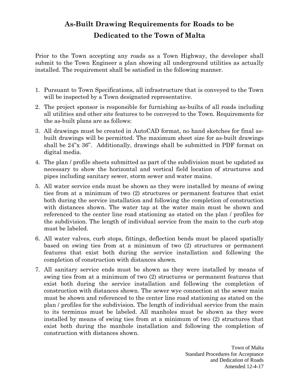# **As-Built Drawing Requirements for Roads to be Dedicated to the Town of Malta**

Prior to the Town accepting any roads as a Town Highway, the developer shall submit to the Town Engineer a plan showing all underground utilities as actually installed. The requirement shall be satisfied in the following manner.

- 1. Pursuant to Town Specifications, all infrastructure that is conveyed to the Town will be inspected by a Town designated representative.
- 2. The project sponsor is responsible for furnishing as-builts of all roads including all utilities and other site features to be conveyed to the Town. Requirements for the as-built plans are as follows:
- 3. All drawings must be created in AutoCAD format, no hand sketches for final asbuilt drawings will be permitted. The maximum sheet size for as-built drawings shall be 24"x 36". Additionally, drawings shall be submitted in PDF format on digital media.
- 4. The plan / profile sheets submitted as part of the subdivision must be updated as necessary to show the horizontal and vertical field location of structures and pipes including sanitary sewer, storm sewer and water mains.
- 5. All water service ends must be shown as they were installed by means of swing ties from at a minimum of two (2) structures or permanent features that exist both during the service installation and following the completion of construction with distances shown. The water tap at the water main must be shown and referenced to the center line road stationing as stated on the plan / profiles for the subdivision. The length of individual service from the main to the curb stop must be labeled.
- 6. All water valves, curb stops, fittings, deflection bends must be placed spatially based on swing ties from at a minimum of two (2) structures or permanent features that exist both during the service installation and following the completion of construction with distances shown.
- 7. All sanitary service ends must be shown as they were installed by means of swing ties from at a minimum of two (2) structures or permanent features that exist both during the service installation and following the completion of construction with distances shown. The sewer wye connection at the sewer main must be shown and referenced to the center line road stationing as stated on the plan / profiles for the subdivision. The length of individual service from the main to its terminus must be labeled. All manholes must be shown as they were installed by means of swing ties from at a minimum of two (2) structures that exist both during the manhole installation and following the completion of construction with distances shown.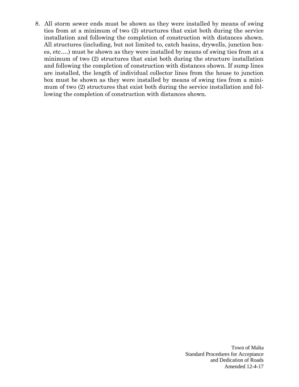8. All storm sewer ends must be shown as they were installed by means of swing ties from at a minimum of two (2) structures that exist both during the service installation and following the completion of construction with distances shown. All structures (including, but not limited to, catch basins, drywells, junction boxes, etc.…) must be shown as they were installed by means of swing ties from at a minimum of two (2) structures that exist both during the structure installation and following the completion of construction with distances shown. If sump lines are installed, the length of individual collector lines from the house to junction box must be shown as they were installed by means of swing ties from a minimum of two (2) structures that exist both during the service installation and following the completion of construction with distances shown.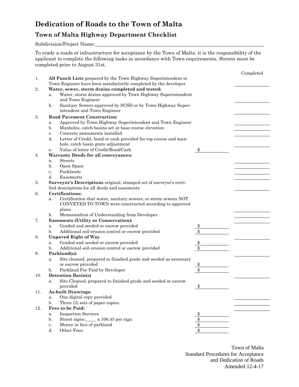## **Dedication of Roads to the Town of Malta**

### **Town of Malta Highway Department Checklist**

Subdivision/Project Name:

To ready a roads or infrastructure for acceptance by the Town of Malta, it is the responsibility of the applicant to complete the following tasks in accordance with Town requirements. Streets must be completed prior to August 31st.

|     |                                                  |                                                                    |    | Completed |  |  |
|-----|--------------------------------------------------|--------------------------------------------------------------------|----|-----------|--|--|
| 1.  |                                                  | All Punch Lists prepared by the Town Highway Superintendent or     |    |           |  |  |
|     |                                                  | Town Engineer have been satisfactorily completed by the developer  |    |           |  |  |
| 2.  | Water, sewer, storm drains completed and tested: |                                                                    |    |           |  |  |
|     | a.                                               | Water, storm drains approved by Town Highway Superintendent        |    |           |  |  |
|     |                                                  | and Town Engineer                                                  |    |           |  |  |
|     | b.                                               | Sanitary Sewers approved by SCSD or by Town Highway Super-         |    |           |  |  |
|     |                                                  | intendent and Town Engineer                                        |    |           |  |  |
| 3.  | <b>Road Pavement Construction:</b>               |                                                                    |    |           |  |  |
|     | a.                                               |                                                                    |    |           |  |  |
|     | b.                                               | Manholes, catch basins set at base course elevation                |    |           |  |  |
|     | c.                                               | Concrete monuments installed                                       |    |           |  |  |
|     | d.                                               | Letter of Credit, bond or cash provided for top course and man-    |    |           |  |  |
|     |                                                  | hole, catch basin grate adjustment                                 |    |           |  |  |
|     | е.                                               | Value of letter of Credit/Bond/Cash                                | \$ |           |  |  |
| 4.  |                                                  | <b>Warranty Deeds for all conveyances:</b>                         |    |           |  |  |
|     | a.                                               |                                                                    |    |           |  |  |
|     | b.                                               | Open Space                                                         |    |           |  |  |
|     | c.                                               | Parklands                                                          |    |           |  |  |
|     | d.                                               | Easements                                                          |    |           |  |  |
| 5.  |                                                  | Surveyor's Descriptions original, stamped set of surveyor's certi- |    |           |  |  |
|     | fied descriptions for all deeds and easements    |                                                                    |    |           |  |  |
| 6.  |                                                  | Certifications:                                                    |    |           |  |  |
|     | a.                                               | Certification that water, sanitary sewers, or storm sewers NOT     |    |           |  |  |
|     |                                                  | CONVEYED TO TOWN were constructed according to approved            |    |           |  |  |
|     |                                                  | plans                                                              |    |           |  |  |
|     | b.                                               | Memorandum of Understanding from Developer                         |    |           |  |  |
| 7.  | <b>Easements (Utility or Conservation):</b>      |                                                                    |    |           |  |  |
|     | a.                                               | Graded and seeded or escrow provided                               |    |           |  |  |
|     | b.                                               | Additional soil erosion control or escrow provided                 | \$ |           |  |  |
| 8.  | <b>Unpaved Right of Way</b>                      |                                                                    |    |           |  |  |
|     | a.                                               | Graded and seeded or escrow provided                               | \$ |           |  |  |
|     | b.                                               | Additional soil erosion control or escrow provided                 | \$ |           |  |  |
| 9.  | Parkland(s):                                     |                                                                    |    |           |  |  |
|     | a.                                               | Site cleaned, prepared to finished grade and seeded as necessary   |    |           |  |  |
|     |                                                  | or escrow provided                                                 | \$ |           |  |  |
|     | b.                                               | Parkland Fee Paid by Developer                                     | \$ |           |  |  |
| 10. | <b>Detention Basin(s)</b>                        |                                                                    |    |           |  |  |
|     | a.                                               | Site Cleaned, prepared to finished grade and seeded or escrow      |    |           |  |  |
|     |                                                  | provided                                                           | \$ |           |  |  |
| 11. | <b>As-built Drawings:</b>                        |                                                                    |    |           |  |  |
|     | a.                                               | One digital copy provided                                          |    |           |  |  |
|     | b.                                               | Three (3) sets of paper copies.                                    |    |           |  |  |
| 12. |                                                  | Fees to be Paid:                                                   |    |           |  |  |
|     | a.                                               | <b>Inspection Services</b>                                         |    |           |  |  |
|     | b.                                               | Street signs:_____ x 106.45 per sign                               |    |           |  |  |
|     | c.                                               | Money in lieu of parkland                                          | \$ |           |  |  |
|     | d.                                               | Other Fees:                                                        | \$ |           |  |  |
|     |                                                  |                                                                    |    |           |  |  |
|     |                                                  |                                                                    |    |           |  |  |